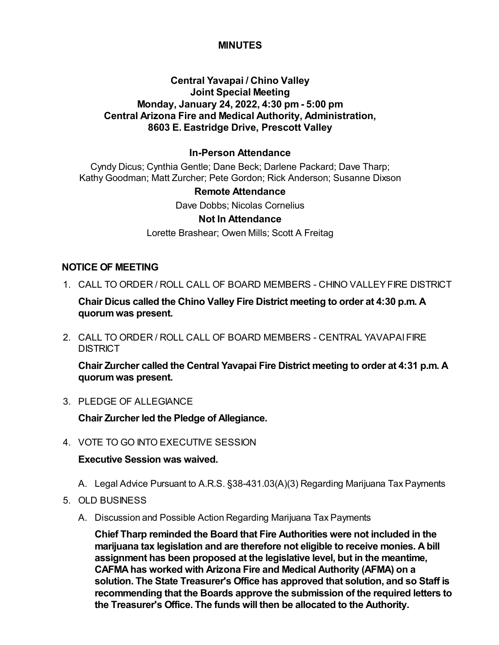## **MINUTES**

# **Central Yavapai / Chino Valley Joint Special Meeting Monday, January 24, 2022, 4:30 pm - 5:00 pm Central Arizona Fire and Medical Authority, Administration, 8603 E. Eastridge Drive, Prescott Valley**

### **In-Person Attendance**

Cyndy Dicus; Cynthia Gentle; Dane Beck; Darlene Packard; Dave Tharp; Kathy Goodman; Matt Zurcher; Pete Gordon; Rick Anderson; Susanne Dixson

#### **Remote Attendance**

Dave Dobbs; Nicolas Cornelius

#### **Not In Attendance**

Lorette Brashear; Owen Mills; Scott A Freitag

#### **NOTICE OF MEETING**

1. CALL TO ORDER / ROLL CALL OF BOARD MEMBERS - CHINO VALLEY FIRE DISTRICT

**Chair Dicus called the Chino Valley Fire District meeting to order at 4:30 p.m. A quorum was present.**

CALL TO ORDER / ROLL CALL OF BOARD MEMBERS - CENTRAL YAVAPAI FIRE 2. **DISTRICT** 

**Chair Zurcher called the Central Yavapai Fire District meeting to order at 4:31 p.m. A quorum was present.**

3. PLEDGE OF ALLEGIANCE

**Chair Zurcher led the Pledge of Allegiance.**

4. VOTE TO GO INTO EXECUTIVE SESSION

## **Executive Session was waived.**

- A. Legal Advice Pursuant to A.R.S. §38-431.03(A)(3) Regarding Marijuana Tax Payments
- 5. OLD BUSINESS
	- A. Discussion and Possible Action Regarding Marijuana Tax Payments

**Chief Tharp reminded the Board that Fire Authorities were not included in the marijuana tax legislation and are therefore not eligible to receive monies. A bill assignment has been proposed at the legislative level, but in the meantime, CAFMA has worked with Arizona Fire and Medical Authority (AFMA) on a solution. The State Treasurer's Office has approved that solution, and so Staff is recommending that the Boards approve the submission of the required letters to the Treasurer's Office. The funds will then be allocated to the Authority.**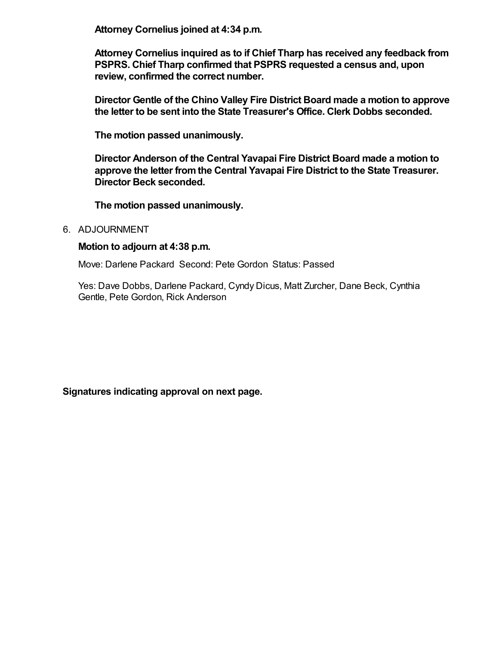**Attorney Cornelius joined at 4:34 p.m.**

**Attorney Cornelius inquired as to if Chief Tharp has received any feedback from PSPRS. Chief Tharp confirmed that PSPRS requested a census and, upon review, confirmed the correct number.** 

**Director Gentle of the Chino Valley Fire District Board made a motion to approve the letter to be sent into the State Treasurer's Office. Clerk Dobbs seconded.** 

**The motion passed unanimously.**

**Director Anderson of the Central Yavapai Fire District Board made a motion to approve the letter from the Central Yavapai Fire District to the State Treasurer. Director Beck seconded.** 

**The motion passed unanimously.**

6. ADJOURNMENT

## **Motion to adjourn at 4:38 p.m.**

Move: Darlene Packard Second: Pete Gordon Status: Passed

Yes: Dave Dobbs, Darlene Packard, Cyndy Dicus, Matt Zurcher, Dane Beck, Cynthia Gentle, Pete Gordon, Rick Anderson

**Signatures indicating approval on next page.**